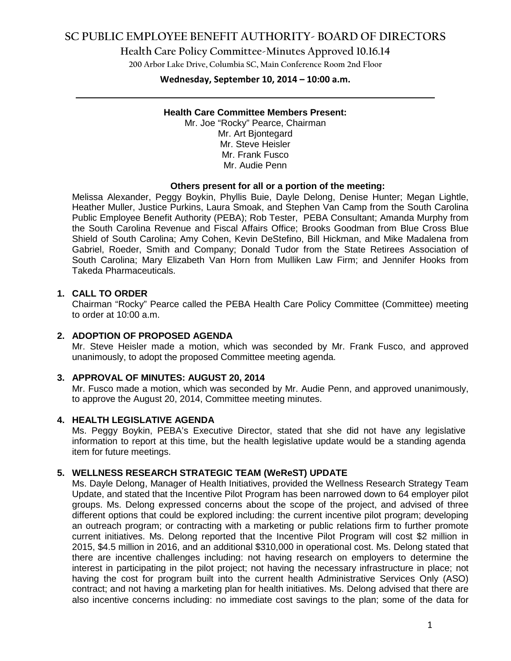## **SC PUBLIC EMPLOYEE BENEFIT AUTHORITY- BOARD OF DIRECTORS**

**Health Care Policy Committee-Minutes Approved 10.16.14**

**200 Arbor Lake Drive, Columbia SC, Main Conference Room 2nd Floor**

# **Wednesday, September 10, 2014 – 10:00 a.m. \_\_\_\_\_\_\_\_\_\_\_\_\_\_\_\_\_\_\_\_\_\_\_\_\_\_\_\_\_\_\_\_\_\_\_\_\_\_\_\_\_\_\_\_\_\_\_\_\_\_\_\_\_\_\_\_\_\_\_\_\_\_\_\_\_\_\_\_\_\_\_\_**

#### **Health Care Committee Members Present:**

Mr. Joe "Rocky" Pearce, Chairman Mr. Art Bjontegard Mr. Steve Heisler Mr. Frank Fusco Mr. Audie Penn

#### **Others present for all or a portion of the meeting:**

Melissa Alexander, Peggy Boykin, Phyllis Buie, Dayle Delong, Denise Hunter; Megan Lightle, Heather Muller, Justice Purkins, Laura Smoak, and Stephen Van Camp from the South Carolina Public Employee Benefit Authority (PEBA); Rob Tester, PEBA Consultant; Amanda Murphy from the South Carolina Revenue and Fiscal Affairs Office; Brooks Goodman from Blue Cross Blue Shield of South Carolina; Amy Cohen, Kevin DeStefino, Bill Hickman, and Mike Madalena from Gabriel, Roeder, Smith and Company; Donald Tudor from the State Retirees Association of South Carolina; Mary Elizabeth Van Horn from Mulliken Law Firm; and Jennifer Hooks from Takeda Pharmaceuticals.

### **1. CALL TO ORDER**

Chairman "Rocky" Pearce called the PEBA Health Care Policy Committee (Committee) meeting to order at 10:00 a.m.

### **2. ADOPTION OF PROPOSED AGENDA**

Mr. Steve Heisler made a motion, which was seconded by Mr. Frank Fusco, and approved unanimously, to adopt the proposed Committee meeting agenda.

### **3. APPROVAL OF MINUTES: AUGUST 20, 2014**

Mr. Fusco made a motion, which was seconded by Mr. Audie Penn, and approved unanimously, to approve the August 20, 2014, Committee meeting minutes.

### **4. HEALTH LEGISLATIVE AGENDA**

Ms. Peggy Boykin, PEBA's Executive Director, stated that she did not have any legislative information to report at this time, but the health legislative update would be a standing agenda item for future meetings.

### **5. WELLNESS RESEARCH STRATEGIC TEAM (WeReST) UPDATE**

Ms. Dayle Delong, Manager of Health Initiatives, provided the Wellness Research Strategy Team Update, and stated that the Incentive Pilot Program has been narrowed down to 64 employer pilot groups. Ms. Delong expressed concerns about the scope of the project, and advised of three different options that could be explored including: the current incentive pilot program; developing an outreach program; or contracting with a marketing or public relations firm to further promote current initiatives. Ms. Delong reported that the Incentive Pilot Program will cost \$2 million in 2015, \$4.5 million in 2016, and an additional \$310,000 in operational cost. Ms. Delong stated that there are incentive challenges including: not having research on employers to determine the interest in participating in the pilot project; not having the necessary infrastructure in place; not having the cost for program built into the current health Administrative Services Only (ASO) contract; and not having a marketing plan for health initiatives. Ms. Delong advised that there are also incentive concerns including: no immediate cost savings to the plan; some of the data for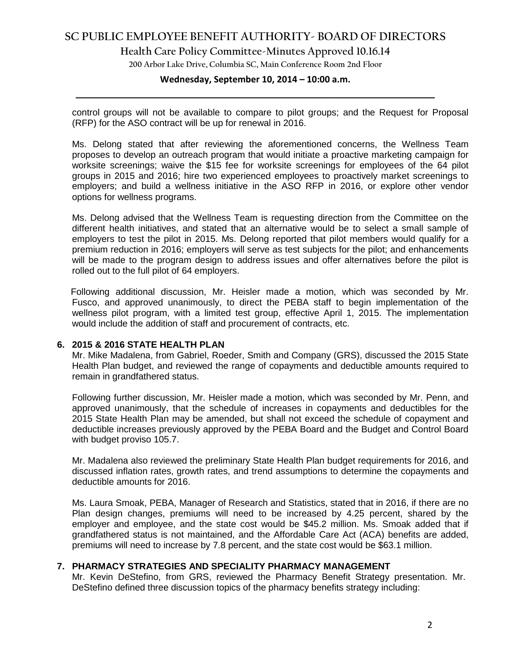## **SC PUBLIC EMPLOYEE BENEFIT AUTHORITY- BOARD OF DIRECTORS**

**Health Care Policy Committee-Minutes Approved 10.16.14**

**200 Arbor Lake Drive, Columbia SC, Main Conference Room 2nd Floor**

## **Wednesday, September 10, 2014 – 10:00 a.m. \_\_\_\_\_\_\_\_\_\_\_\_\_\_\_\_\_\_\_\_\_\_\_\_\_\_\_\_\_\_\_\_\_\_\_\_\_\_\_\_\_\_\_\_\_\_\_\_\_\_\_\_\_\_\_\_\_\_\_\_\_\_\_\_\_\_\_\_\_\_\_\_**

control groups will not be available to compare to pilot groups; and the Request for Proposal (RFP) for the ASO contract will be up for renewal in 2016.

Ms. Delong stated that after reviewing the aforementioned concerns, the Wellness Team proposes to develop an outreach program that would initiate a proactive marketing campaign for worksite screenings; waive the \$15 fee for worksite screenings for employees of the 64 pilot groups in 2015 and 2016; hire two experienced employees to proactively market screenings to employers; and build a wellness initiative in the ASO RFP in 2016, or explore other vendor options for wellness programs.

Ms. Delong advised that the Wellness Team is requesting direction from the Committee on the different health initiatives, and stated that an alternative would be to select a small sample of employers to test the pilot in 2015. Ms. Delong reported that pilot members would qualify for a premium reduction in 2016; employers will serve as test subjects for the pilot; and enhancements will be made to the program design to address issues and offer alternatives before the pilot is rolled out to the full pilot of 64 employers.

Following additional discussion, Mr. Heisler made a motion, which was seconded by Mr. Fusco, and approved unanimously, to direct the PEBA staff to begin implementation of the wellness pilot program, with a limited test group, effective April 1, 2015. The implementation would include the addition of staff and procurement of contracts, etc.

### **6. 2015 & 2016 STATE HEALTH PLAN**

Mr. Mike Madalena, from Gabriel, Roeder, Smith and Company (GRS), discussed the 2015 State Health Plan budget, and reviewed the range of copayments and deductible amounts required to remain in grandfathered status.

Following further discussion, Mr. Heisler made a motion, which was seconded by Mr. Penn, and approved unanimously, that the schedule of increases in copayments and deductibles for the 2015 State Health Plan may be amended, but shall not exceed the schedule of copayment and deductible increases previously approved by the PEBA Board and the Budget and Control Board with budget proviso 105.7.

Mr. Madalena also reviewed the preliminary State Health Plan budget requirements for 2016, and discussed inflation rates, growth rates, and trend assumptions to determine the copayments and deductible amounts for 2016.

Ms. Laura Smoak, PEBA, Manager of Research and Statistics, stated that in 2016, if there are no Plan design changes, premiums will need to be increased by 4.25 percent, shared by the employer and employee, and the state cost would be \$45.2 million. Ms. Smoak added that if grandfathered status is not maintained, and the Affordable Care Act (ACA) benefits are added, premiums will need to increase by 7.8 percent, and the state cost would be \$63.1 million.

### **7. PHARMACY STRATEGIES AND SPECIALITY PHARMACY MANAGEMENT**

Mr. Kevin DeStefino, from GRS, reviewed the Pharmacy Benefit Strategy presentation. Mr. DeStefino defined three discussion topics of the pharmacy benefits strategy including: